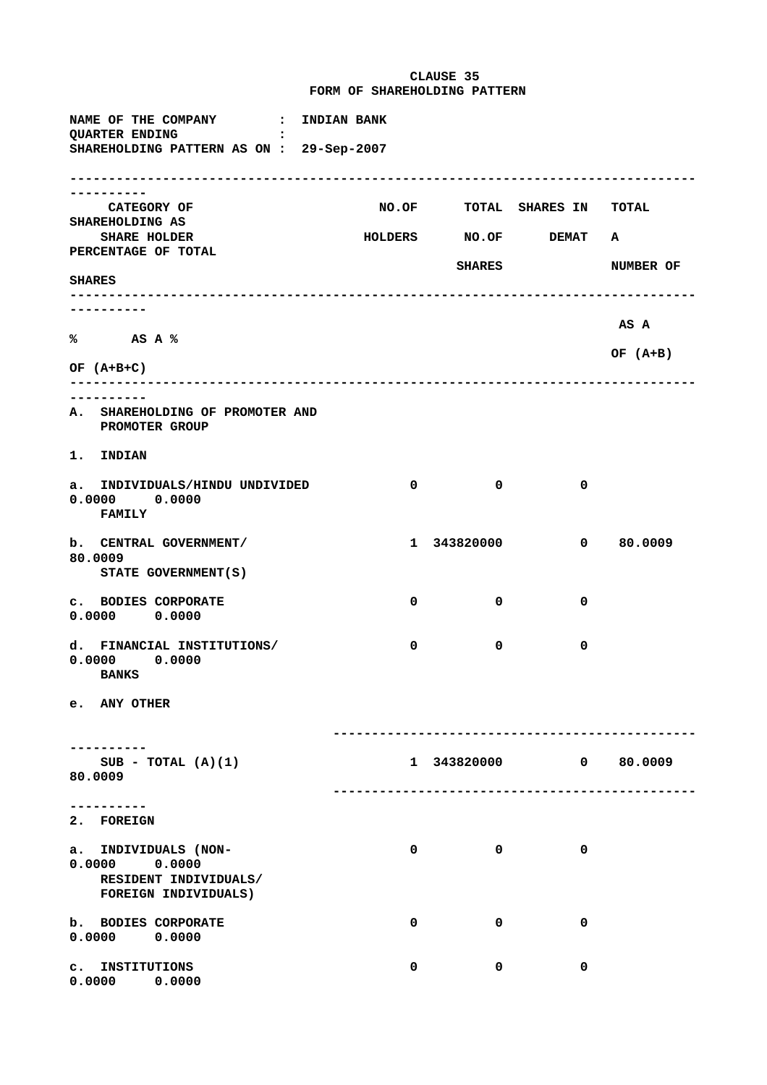**CLAUSE 35 FORM OF SHAREHOLDING PATTERN**

**NAME OF THE COMPANY : INDIAN BANK QUARTER ENDING : SHAREHOLDING PATTERN AS ON : 29-Sep-2007 --------------------------------------------------------------------------------- ---------- CATEGORY OF NO.OF TOTAL SHARES IN TOTAL SHAREHOLDING AS SHARE HOLDER HOLDERS NO.OF DEMAT A PERCENTAGE OF TOTAL** SHARES NUMBER OF **SHARES --------------------------------------------------------------------------------- ---------- AS A % AS A % OF (A+B) OF (A+B+C) --------------------------------------------------------------------------------- ---------- A. SHAREHOLDING OF PROMOTER AND PROMOTER GROUP 1. INDIAN a. INDIVIDUALS/HINDU UNDIVIDED 0 0 0 0.0000 0.0000 FAMILY b. CENTRAL GOVERNMENT/ 1 343820000 0 80.0009 80.0009 STATE GOVERNMENT(S) c. BODIES CORPORATE 0 0 0 0.0000 0.0000 d. FINANCIAL INSTITUTIONS/ 0 0 0 0.0000 0.0000 BANKS e. ANY OTHER ----------------------------------------------- ---------- SUB - TOTAL (A)(1) 1 343820000 0 80.0009 80.0009 ----------------------------------------------- ---------- 2. FOREIGN a. INDIVIDUALS (NON- 0 0 0 0.0000 0.0000 RESIDENT INDIVIDUALS/ FOREIGN INDIVIDUALS) b.** BODIES CORPORATE 0 0 0 0 0 0 **0.0000 0.0000 c. INSTITUTIONS 0 0 0 0.0000 0.0000**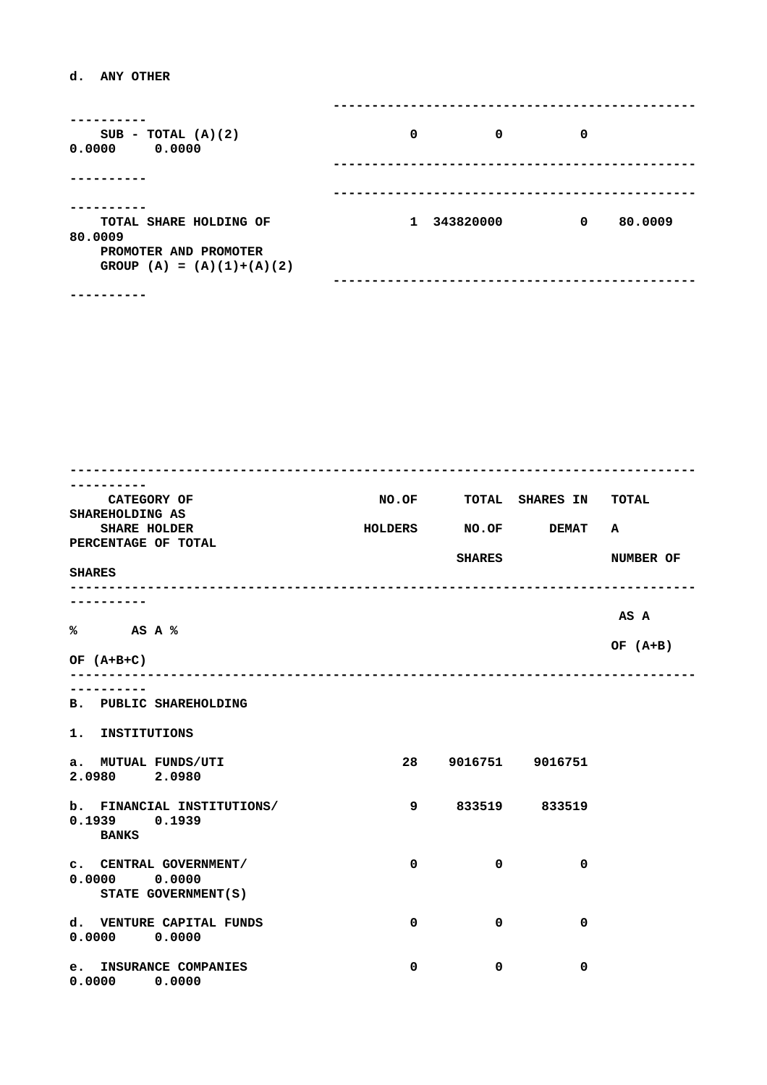## **d. ANY OTHER**

| $SUB - TOTAL (A)(2)$<br>0.0000<br>0.0000             | 0            | 0         | 0 |         |
|------------------------------------------------------|--------------|-----------|---|---------|
|                                                      |              |           |   |         |
| TOTAL SHARE HOLDING OF<br>80,0009                    | $\mathbf{1}$ | 343820000 | 0 | 80,0009 |
| PROMOTER AND PROMOTER<br>GROUP $(A) = (A)(1)+(A)(2)$ |              |           |   |         |
|                                                      |              |           |   |         |

| <b>CATEGORY OF</b>            |                       |              | NO.OF TOTAL SHARES IN TOTAL |            |
|-------------------------------|-----------------------|--------------|-----------------------------|------------|
| SHAREHOLDING AS               |                       |              |                             |            |
| <b>SHARE HOLDER</b>           | HOLDERS NO.OF DEMAT A |              |                             |            |
| PERCENTAGE OF TOTAL           |                       |              |                             |            |
|                               |                       |              | <b>SHARES</b>               | NUMBER OF  |
| <b>SHARES</b>                 |                       |              |                             |            |
|                               |                       |              |                             |            |
|                               |                       |              |                             | AS A       |
| % AS A %                      |                       |              |                             |            |
|                               |                       |              |                             | OF $(A+B)$ |
| OF $(A+B+C)$                  |                       |              |                             |            |
|                               |                       |              |                             |            |
| ---------                     |                       |              |                             |            |
| <b>B. PUBLIC SHAREHOLDING</b> |                       |              |                             |            |
|                               |                       |              |                             |            |
| 1. INSTITUTIONS               |                       |              |                             |            |
|                               |                       |              |                             |            |
| a. MUTUAL FUNDS/UTI           |                       |              | 28 9016751 9016751          |            |
| 2.0980 2.0980                 |                       |              |                             |            |
| b. FINANCIAL INSTITUTIONS/    | 9                     |              | 833519 833519               |            |
| $0.1939$ $0.1939$             |                       |              |                             |            |
| <b>BANKS</b>                  |                       |              |                             |            |
|                               |                       |              |                             |            |
| C. CENTRAL GOVERNMENT/        | $\mathbf{0}$          | $\mathbf{0}$ | $\mathbf 0$                 |            |
| $0.0000$ $0.0000$             |                       |              |                             |            |
| STATE GOVERNMENT (S)          |                       |              |                             |            |
|                               |                       |              |                             |            |
| d. VENTURE CAPITAL FUNDS      | $\mathbf{0}$          | $\mathbf{0}$ | 0                           |            |
| $0.0000$ $0.0000$             |                       |              |                             |            |
|                               |                       |              |                             |            |
| e. INSURANCE COMPANIES        | 0                     | 0            | $\mathbf 0$                 |            |
| $0.0000$ $0.0000$             |                       |              |                             |            |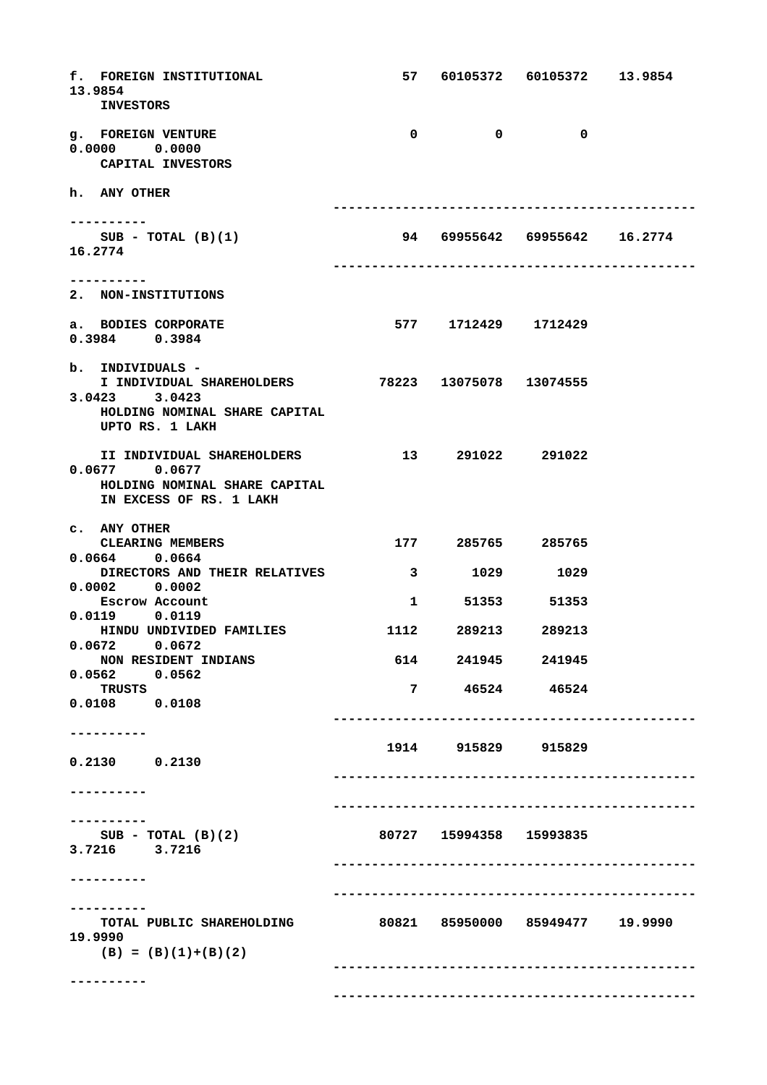**f. FOREIGN INSTITUTIONAL 57 60105372 60105372 13.9854 13.9854 INVESTORS g.** FOREIGN VENTURE 0 0 0 0 0 0 **0.0000 0.0000 CAPITAL INVESTORS h. ANY OTHER -----------------------------------------------** ----------<br>**SUB - TOTAL (B)(1) SUB - TOTAL (B)(1) 94 69955642 69955642 16.2774 16.2774 ----------------------------------------------- ---------- 2. NON-INSTITUTIONS a. BODIES CORPORATE 577 1712429 1712429 0.3984 0.3984 b. INDIVIDUALS - I INDIVIDUAL SHAREHOLDERS 78223 13075078 13074555 3.0423 3.0423 HOLDING NOMINAL SHARE CAPITAL UPTO RS. 1 LAKH II INDIVIDUAL SHAREHOLDERS 13 291022 291022 0.0677 0.0677 HOLDING NOMINAL SHARE CAPITAL IN EXCESS OF RS. 1 LAKH c. ANY OTHER CLEARING MEMBERS 177 285765 285765 0.0664 0.0664** DIRECTORS AND THEIR RELATIVES **3** 1029 1029 **0.0002 0.0002 Escrow Account 1 51353 51353 0.0119 0.0119 HINDU UNDIVIDED FAMILIES 1112 289213 289213 0.0672 0.0672 NON RESIDENT INDIANS 614 241945 241945 0.0562 0.0562 TRUSTS 7 46524 46524 0.0108 0.0108 ----------------------------------------------- ---------- 1914 915829 915829 0.2130 0.2130 ----------------------------------------------- ---------- ----------------------------------------------- ---------- SUB - TOTAL (B)(2) 80727 15994358 15993835 3.7216 3.7216 ----------------------------------------------- ---------- -----------------------------------------------** ----------<br>TOTAL PUBLIC SHAREHOLDING  **TOTAL PUBLIC SHAREHOLDING 80821 85950000 85949477 19.9990 19.9990**  $(B) = (B)(1)+(B)(2)$  **----------------------------------------------- ---------- -----------------------------------------------**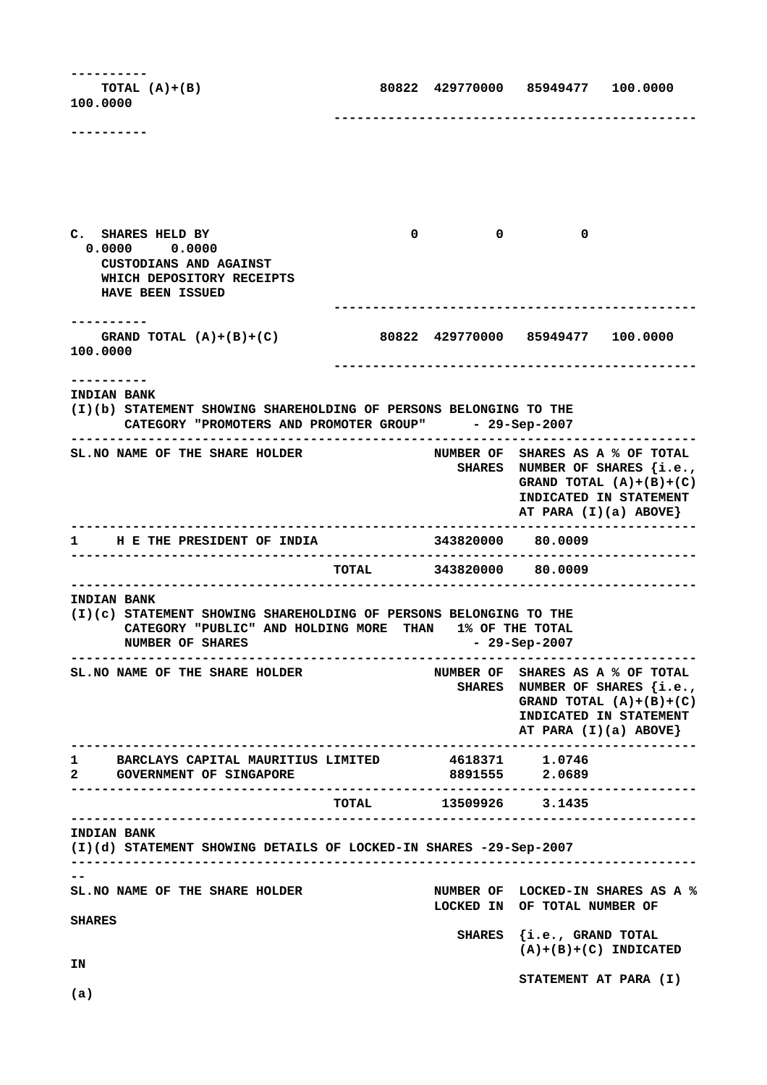**---------- TOTAL (A)+(B) 80822 429770000 85949477 100.0000 100.0000 ----------------------------------------------- ----------** C. SHARES HELD BY 0 0 0 0 0  **0.0000 0.0000 CUSTODIANS AND AGAINST WHICH DEPOSITORY RECEIPTS HAVE BEEN ISSUED ----------------------------------------------- ---------- GRAND TOTAL (A)+(B)+(C) 80822 429770000 85949477 100.0000 100.0000 ----------------------------------------------- ---------- INDIAN BANK (I)(b) STATEMENT SHOWING SHAREHOLDING OF PERSONS BELONGING TO THE CATEGORY "PROMOTERS AND PROMOTER GROUP" - 29-Sep-2007 ---------------------------------------------------------------------------------** SL. NO NAME OF THE SHARE HOLDER NUMBER OF SHARES AS A % OF TOTAL  **SHARES NUMBER OF SHARES {i.e., GRAND TOTAL (A)+(B)+(C) INDICATED IN STATEMENT AT PARA (I)(a) ABOVE} ---------------------------------------------------------------------------------** 1 H E THE PRESIDENT OF INDIA **--------------------------------------------------------------------------------- TOTAL 343820000 80.0009 --------------------------------------------------------------------------------- INDIAN BANK (I)(c) STATEMENT SHOWING SHAREHOLDING OF PERSONS BELONGING TO THE CATEGORY "PUBLIC" AND HOLDING MORE THAN 1% OF THE TOTAL NUMBER OF SHARES - 29-Sep-2007 ---------------------------------------------------------------------------------** SL. NO NAME OF THE SHARE HOLDER NUMBER OF SHARES AS A % OF TOTAL  **SHARES NUMBER OF SHARES {i.e., GRAND TOTAL (A)+(B)+(C) INDICATED IN STATEMENT AT PARA (I)(a) ABOVE} ---------------------------------------------------------------------------------** 1 BARCLAYS CAPITAL MAURITIUS LIMITED **2 GOVERNMENT OF SINGAPORE 8891555 2.0689 --------------------------------------------------------------------------------- TOTAL 13509926 3.1435 --------------------------------------------------------------------------------- INDIAN BANK (I)(d) STATEMENT SHOWING DETAILS OF LOCKED-IN SHARES -29-Sep-2007 --------------------------------------------------------------------------------- -- SL.NO NAME OF THE SHARE HOLDER NUMBER OF LOCKED-IN SHARES AS A % LOCKED IN OF TOTAL NUMBER OF SHARES SHARES {i.e., GRAND TOTAL (A)+(B)+(C) INDICATED IN STATEMENT AT PARA (I) (a)**